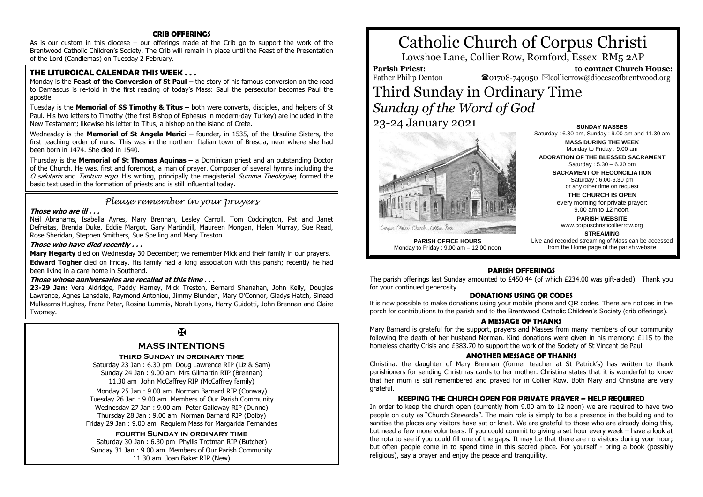## **CRIB OFFERINGS**

As is our custom in this diocese – our offerings made at the Crib go to support the work of the Brentwood Catholic Children's Society. The Crib will remain in place until the Feast of the Presentation of the Lord (Candlemas) on Tuesday 2 February.

# **THE LITURGICAL CALENDAR THIS WEEK . . .**

Monday is the **Feast of the Conversion of St Paul –** the story of his famous conversion on the road to Damascus is re-told in the first reading of today's Mass: Saul the persecutor becomes Paul the apostle.

Tuesday is the **Memorial of SS Timothy & Titus –** both were converts, disciples, and helpers of St Paul. His two letters to Timothy (the first Bishop of Ephesus in modern-day Turkey) are included in the New Testament; likewise his letter to Titus, a bishop on the island of Crete.

Wednesday is the **Memorial of St Angela Merici –** founder, in 1535, of the Ursuline Sisters, the first teaching order of nuns. This was in the northern Italian town of Brescia, near where she had been born in 1474. She died in 1540.

Thursday is the **Memorial of St Thomas Aquinas –** a Dominican priest and an outstanding Doctor of the Church. He was, first and foremost, a man of prayer. Composer of several hymns including the O salutaris and Tantum ergo. His writing, principally the magisterial Summa Theologiae, formed the basic text used in the formation of priests and is still influential today.

# *Please remember in your prayers*

#### **Those who are ill . . .**

Neil Abrahams, Isabella Ayres, Mary Brennan, Lesley Carroll, Tom Coddington, Pat and Janet Defreitas, Brenda Duke, Eddie Margot, Gary Martindill, Maureen Mongan, Helen Murray, Sue Read, Rose Sheridan, Stephen Smithers, Sue Spelling and Mary Treston.

### **Those who have died recently . . .**

**Mary Hegarty** died on Wednesday 30 December; we remember Mick and their family in our prayers. **Edward Togher** died on Friday. His family had a long association with this parish; recently he had been living in a care home in Southend.

#### **Those whose anniversaries are recalled at this time . . .**

**23-29 Jan:** Vera Aldridge, Paddy Harney, Mick Treston, Bernard Shanahan, John Kelly, Douglas Lawrence, Agnes Lansdale, Raymond Antoniou, Jimmy Blunden, Mary O'Connor, Gladys Hatch, Sinead Mulkearns Hughes, Franz Peter, Rosina Lummis, Norah Lyons, Harry Guidotti, John Brennan and Claire Twomey.

# $\overline{\mathbf{X}}$

## **MASS INTENTIONS**

#### **third Sunday in ordinary time**

Saturday 23 Jan : 6.30 pm Doug Lawrence RIP (Liz & Sam) Sunday 24 Jan : 9.00 am Mrs Gilmartin RIP (Brennan) 11.30 am John McCaffrey RIP (McCaffrey family)

Monday 25 Jan : 9.00 am Norman Barnard RIP (Conway) Tuesday 26 Jan : 9.00 am Members of Our Parish Community Wednesday 27 Jan : 9.00 am Peter Galloway RIP (Dunne) Thursday 28 Jan : 9.00 am Norman Barnard RIP (Dolby) Friday 29 Jan : 9.00 am Requiem Mass for Margarida Fernandes

# **fourth Sunday in ordinary time**

Saturday 30 Jan : 6.30 pm Phyllis Trotman RIP (Butcher) Sunday 31 Jan : 9.00 am Members of Our Parish Community 11.30 am Joan Baker RIP (New)



Lowshoe Lane, Collier Row, Romford, Essex RM5 2AP

# **Parish Priest:**

Father Philip Denton

 **to contact Church House:**  $\bullet$ 01708-749050  $\boxtimes$ collierrow@dioceseofbrentwood.org

# Third Sunday in Ordinary Time *Sunday of the Word of God*

23-24 January 2021



Monday to Friday : 9.00 am – 12.00 noon

**SUNDAY MASSES** Saturday : 6.30 pm, Sunday : 9.00 am and 11.30 am

**MASS DURING THE WEEK** Monday to Friday : 9.00 am **ADORATION OF THE BLESSED SACRAMENT** Saturday : 5.30 – 6.30 pm

> **SACRAMENT OF RECONCILIATION** Saturday : 6.00-6.30 pm or any other time on request

**THE CHURCH IS OPEN** every morning for private prayer: 9.00 am to 12 noon.

**PARISH WEBSITE** www.corpuschristicollierrow.org

**STREAMING** Live and recorded streaming of Mass can be accessed from the Home page of the parish website

#### **PARISH OFFERINGS**

The parish offerings last Sunday amounted to £450.44 (of which £234.00 was gift-aided). Thank you for your continued generosity.

#### **DONATIONS USING QR CODES**

It is now possible to make donations using your mobile phone and QR codes. There are notices in the porch for contributions to the parish and to the Brentwood Catholic Children's Society (crib offerings).

#### **A MESSAGE OF THANKS**

Mary Barnard is grateful for the support, prayers and Masses from many members of our community following the death of her husband Norman. Kind donations were given in his memory: £115 to the homeless charity Crisis and £383.70 to support the work of the Society of St Vincent de Paul.

#### **ANOTHER MESSAGE OF THANKS**

Christina, the daughter of Mary Brennan (former teacher at St Patrick's) has written to thank parishioners for sending Christmas cards to her mother. Christina states that it is wonderful to know that her mum is still remembered and prayed for in Collier Row. Both Mary and Christina are very grateful.

#### **KEEPING THE CHURCH OPEN FOR PRIVATE PRAYER – HELP REQUIRED**

In order to keep the church open (currently from 9.00 am to 12 noon) we are required to have two people on duty as "Church Stewards". The main role is simply to be a presence in the building and to sanitise the places any visitors have sat or knelt. We are grateful to those who are already doing this, but need a few more volunteers. If you could commit to giving a set hour every week – have a look at the rota to see if you could fill one of the gaps. It may be that there are no visitors during your hour; but often people come in to spend time in this sacred place. For yourself - bring a book (possibly religious), say a prayer and enjoy the peace and tranquillity.